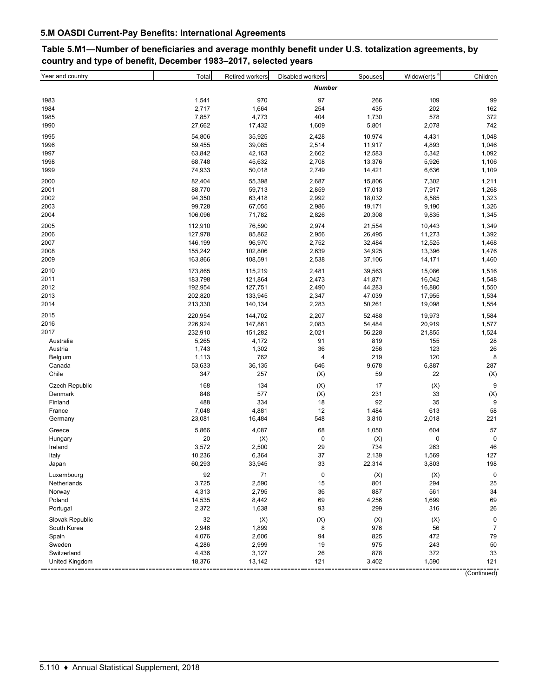## **Table 5.M1—Number of beneficiaries and average monthly benefit under U.S. totalization agreements, by country and type of benefit, December 1983–2017, selected years**

| Year and country      | Total   | <b>Retired workers</b> | Disabled workers | Spouses | Widow(er)s $8$ | Children       |  |  |  |
|-----------------------|---------|------------------------|------------------|---------|----------------|----------------|--|--|--|
|                       |         |                        | <b>Number</b>    |         |                |                |  |  |  |
| 1983                  | 1,541   | 970                    | 97               | 266     | 109            | 99             |  |  |  |
| 1984                  | 2,717   | 1,664                  | 254              | 435     | 202            | 162            |  |  |  |
| 1985                  | 7,857   | 4,773                  | 404              | 1,730   | 578            | 372            |  |  |  |
| 1990                  | 27,662  | 17,432                 | 1,609            | 5,801   | 2,078          | 742            |  |  |  |
| 1995                  | 54,806  | 35,925                 | 2,428            | 10,974  | 4,431          | 1,048          |  |  |  |
| 1996                  | 59,455  | 39,085                 | 2,514            | 11,917  | 4,893          | 1,046          |  |  |  |
| 1997                  | 63,842  | 42,163                 | 2,662            | 12,583  | 5,342          | 1,092          |  |  |  |
| 1998                  | 68,748  | 45,632                 | 2,708            | 13,376  | 5,926          | 1,106          |  |  |  |
| 1999                  | 74,933  | 50,018                 | 2,749            | 14,421  | 6,636          | 1,109          |  |  |  |
| 2000                  | 82,404  | 55,398                 | 2,687            | 15,806  | 7,302          | 1,211          |  |  |  |
| 2001                  | 88,770  | 59,713                 | 2,859            | 17,013  | 7,917          | 1,268          |  |  |  |
| 2002                  | 94,350  | 63,418                 | 2,992            | 18,032  | 8,585          | 1,323          |  |  |  |
| 2003                  | 99,728  | 67,055                 | 2,986            | 19,171  | 9,190          | 1,326          |  |  |  |
| 2004                  | 106,096 | 71,782                 | 2,826            | 20,308  | 9,835          | 1,345          |  |  |  |
| 2005                  | 112,910 | 76,590                 | 2,974            | 21,554  | 10,443         | 1,349          |  |  |  |
| 2006                  | 127,978 | 85,862                 | 2,956            | 26,495  | 11,273         | 1,392          |  |  |  |
| 2007                  | 146,199 | 96,970                 | 2,752            | 32,484  | 12,525         | 1,468          |  |  |  |
| 2008                  | 155,242 | 102,806                | 2,639            | 34,925  | 13,396         | 1,476          |  |  |  |
| 2009                  | 163,866 | 108,591                | 2,538            | 37,106  | 14,171         | 1,460          |  |  |  |
| 2010                  | 173,865 | 115,219                | 2,481            | 39,563  | 15,086         | 1,516          |  |  |  |
| 2011                  | 183,798 | 121,864                | 2,473            | 41,871  | 16,042         | 1,548          |  |  |  |
| 2012                  | 192,954 | 127,751                | 2,490            | 44,283  | 16,880         | 1,550          |  |  |  |
| 2013                  | 202,820 | 133,945                | 2,347            | 47,039  | 17,955         | 1,534          |  |  |  |
| 2014                  | 213,330 | 140,134                | 2,283            | 50,261  | 19,098         | 1,554          |  |  |  |
| 2015                  | 220,954 | 144,702                | 2,207            | 52,488  | 19,973         | 1,584          |  |  |  |
| 2016                  | 226,924 | 147,861                | 2,083            | 54,484  | 20,919         | 1,577          |  |  |  |
| 2017                  | 232,910 | 151,282                | 2,021            | 56,228  | 21,855         | 1,524          |  |  |  |
| Australia             | 5,265   | 4,172                  | 91               | 819     | 155            | 28             |  |  |  |
| Austria               | 1,743   | 1,302                  | 36               | 256     | 123            | 26             |  |  |  |
| Belgium               | 1,113   | 762                    | 4                | 219     | 120            | 8              |  |  |  |
| Canada                | 53,633  | 36,135                 | 646              | 9,678   | 6,887          | 287            |  |  |  |
| Chile                 | 347     | 257                    | (X)              | 59      | 22             | (X)            |  |  |  |
| <b>Czech Republic</b> | 168     | 134                    | (X)              | 17      | (X)            | 9              |  |  |  |
| Denmark               | 848     | 577                    | (X)              | 231     | 33             | (X)            |  |  |  |
| Finland               | 488     | 334                    | 18               | 92      | 35             | 9              |  |  |  |
| France                | 7,048   | 4,881                  | 12               | 1,484   | 613            | 58             |  |  |  |
| Germany               | 23,081  | 16,484                 | 548              | 3,810   | 2,018          | 221            |  |  |  |
| Greece                | 5,866   | 4,087                  | 68               | 1,050   | 604            | 57             |  |  |  |
| Hungary               | 20      | (X)                    | $\mathbf 0$      | (X)     | 0              | $\pmb{0}$      |  |  |  |
| Ireland               | 3,572   | 2,500                  | 29               | 734     | 263            | 46             |  |  |  |
| Italy                 | 10,236  | 6,364                  | 37               | 2,139   | 1,569          | 127            |  |  |  |
| Japan                 | 60,293  | 33,945                 | 33               | 22,314  | 3,803          | 198            |  |  |  |
| Luxembourg            | 92      | 71                     | $\pmb{0}$        | (X)     | (X)            | $\pmb{0}$      |  |  |  |
| Netherlands           | 3,725   | 2,590                  | 15               | 801     | 294            | 25             |  |  |  |
| Norway                | 4,313   | 2,795                  | 36               | 887     | 561            | 34             |  |  |  |
| Poland                | 14,535  | 8,442                  | 69               | 4,256   | 1,699          | 69             |  |  |  |
| Portugal              | 2,372   | 1,638                  | 93               | 299     | 316            | 26             |  |  |  |
| Slovak Republic       | 32      | (X)                    | (X)              | (X)     | (X)            | $\pmb{0}$      |  |  |  |
| South Korea           | 2,946   | 1,899                  | 8                | 976     | 56             | $\overline{7}$ |  |  |  |
| Spain                 | 4,076   | 2,606                  | 94               | 825     | 472            | 79             |  |  |  |
| Sweden                | 4,286   | 2,999                  | 19               | 975     | 243            | 50             |  |  |  |
| Switzerland           | 4,436   | 3,127                  | 26               | 878     | 372            | 33             |  |  |  |
| United Kingdom        | 18,376  | 13,142                 | 121              | 3,402   | 1,590          | 121            |  |  |  |
|                       |         |                        |                  |         |                | (Continued)    |  |  |  |